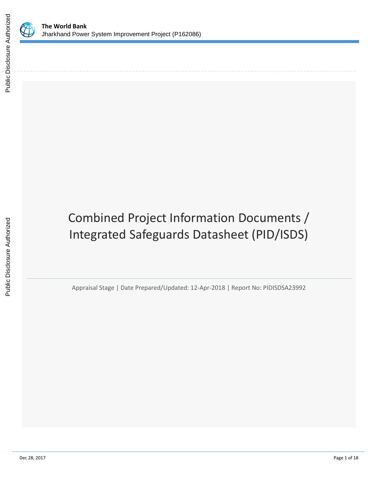

# Combined Project Information Documents / Integrated Safeguards Datasheet (PID/ISDS)

Appraisal Stage | Date Prepared/Updated: 12-Apr-2018 | Report No: PIDISDSA23992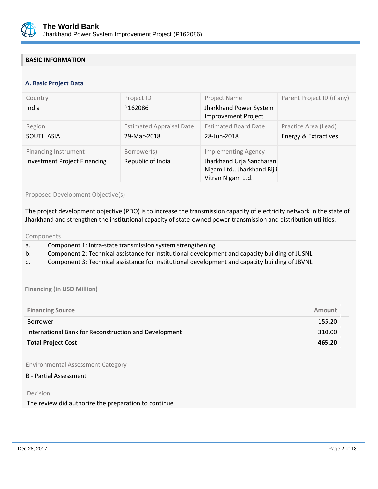

## **BASIC INFORMATION**

#### **OPS\_TABLE\_BASIC\_DATA A. Basic Project Data**

| Country<br>India                                                   | Project ID<br>P162086                          | Project Name<br>Jharkhand Power System<br>Improvement Project                                              | Parent Project ID (if any)                   |
|--------------------------------------------------------------------|------------------------------------------------|------------------------------------------------------------------------------------------------------------|----------------------------------------------|
| Region<br><b>SOUTH ASIA</b>                                        | <b>Estimated Appraisal Date</b><br>29-Mar-2018 | <b>Estimated Board Date</b><br>28-Jun-2018                                                                 | Practice Area (Lead)<br>Energy & Extractives |
| <b>Financing Instrument</b><br><b>Investment Project Financing</b> | Borrower(s)<br>Republic of India               | <b>Implementing Agency</b><br>Jharkhand Urja Sancharan<br>Nigam Ltd., Jharkhand Bijli<br>Vitran Nigam Ltd. |                                              |

Proposed Development Objective(s)

The project development objective (PDO) is to increase the transmission capacity of electricity network in the state of Jharkhand and strengthen the institutional capacity of state-owned power transmission and distribution utilities.

Components

- a. Component 1: Intra-state transmission system strengthening
- b. Component 2: Technical assistance for institutional development and capacity building of JUSNL
- c. Component 3: Technical assistance for institutional development and capacity building of JBVNL

**Financing (in USD Million)**

| <b>Financing Source</b>                               | Amount |
|-------------------------------------------------------|--------|
| Borrower                                              | 155.20 |
| International Bank for Reconstruction and Development | 310.00 |
| <b>Total Project Cost</b>                             | 465.20 |

Environmental Assessment Category

B - Partial Assessment

Decision

The review did authorize the preparation to continue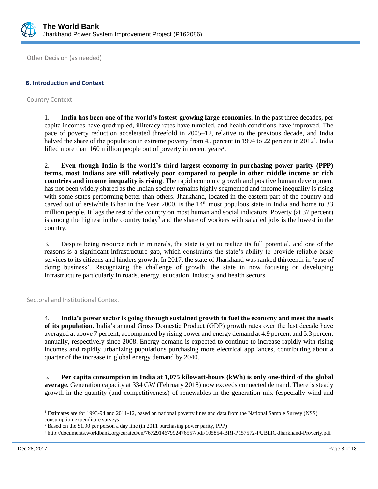

Other Decision (as needed)

## **B. Introduction and Context**

Country Context

1. **India has been one of the world's fastest-growing large economies.** In the past three decades, per capita incomes have quadrupled, illiteracy rates have tumbled, and health conditions have improved. The pace of poverty reduction accelerated threefold in 2005–12, relative to the previous decade, and India halved the share of the population in extreme poverty from 45 percent in 1994 to 22 percent in 2012<sup>1</sup>. India lifted more than  $160$  million people out of poverty in recent years<sup>2</sup>.

2. **Even though India is the world's third-largest economy in purchasing power parity (PPP) terms, most Indians are still relatively poor compared to people in other middle income or rich countries and income inequality is rising**. The rapid economic growth and positive human development has not been widely shared as the Indian society remains highly segmented and income inequality is rising with some states performing better than others. Jharkhand, located in the eastern part of the country and carved out of erstwhile Bihar in the Year 2000, is the  $14<sup>th</sup>$  most populous state in India and home to 33 million people. It lags the rest of the country on most human and social indicators. Poverty (at 37 percent) is among the highest in the country today<sup>3</sup> and the share of workers with salaried jobs is the lowest in the country.

3. Despite being resource rich in minerals, the state is yet to realize its full potential, and one of the reasons is a significant infrastructure gap, which constraints the state's ability to provide reliable basic services to its citizens and hinders growth. In 2017, the state of Jharkhand was ranked thirteenth in 'ease of doing business'. Recognizing the challenge of growth, the state in now focusing on developing infrastructure particularly in roads, energy, education, industry and health sectors.

Sectoral and Institutional Context

4. **India's power sector is going through sustained growth to fuel the economy and meet the needs of its population.** India's annual Gross Domestic Product (GDP) growth rates over the last decade have averaged at above 7 percent, accompanied by rising power and energy demand at 4.9 percent and 5.3 percent annually, respectively since 2008. Energy demand is expected to continue to increase rapidly with rising incomes and rapidly urbanizing populations purchasing more electrical appliances, contributing about a quarter of the increase in global energy demand by 2040.

5. **Per capita consumption in India at 1,075 kilowatt-hours (kWh) is only one-third of the global average.** Generation capacity at 334 GW (February 2018) now exceeds connected demand. There is steady growth in the quantity (and competitiveness) of renewables in the generation mix (especially wind and

 $\overline{\phantom{a}}$ 

<sup>&</sup>lt;sup>1</sup> Estimates are for 1993-94 and 2011-12, based on national poverty lines and data from the National Sample Survey (NSS) consumption expenditure surveys

<sup>2</sup> Based on the \$1.90 per person a day line (in 2011 purchasing power parity, PPP)

<sup>3</sup> http://documents.worldbank.org/curated/en/767291467992476557/pdf/105854-BRI-P157572-PUBLIC-Jharkhand-Proverty.pdf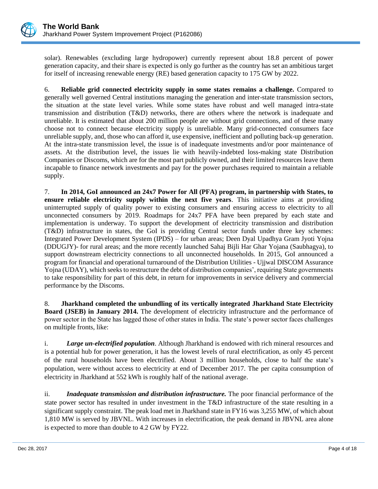

solar). Renewables (excluding large hydropower) currently represent about 18.8 percent of power generation capacity, and their share is expected is only go further as the country has set an ambitious target for itself of increasing renewable energy (RE) based generation capacity to 175 GW by 2022.

6. **Reliable grid connected electricity supply in some states remains a challenge.** Compared to generally well governed Central institutions managing the generation and inter-state transmission sectors, the situation at the state level varies. While some states have robust and well managed intra-state transmission and distribution (T&D) networks, there are others where the network is inadequate and unreliable. It is estimated that about 200 million people are without grid connections, and of these many choose not to connect because electricity supply is unreliable. Many grid-connected consumers face unreliable supply, and, those who can afford it, use expensive, inefficient and polluting back-up generation. At the intra-state transmission level, the issue is of inadequate investments and/or poor maintenance of assets. At the distribution level, the issues lie with heavily-indebted loss-making state Distribution Companies or Discoms, which are for the most part publicly owned, and their limited resources leave them incapable to finance network investments and pay for the power purchases required to maintain a reliable supply.

7. **In 2014, GoI announced an 24x7 Power for All (PFA) program, in partnership with States, to ensure reliable electricity supply within the next five years**. This initiative aims at providing uninterrupted supply of quality power to existing consumers and ensuring access to electricity to all unconnected consumers by 2019. Roadmaps for 24x7 PFA have been prepared by each state and implementation is underway. To support the development of electricity transmission and distribution (T&D) infrastructure in states, the GoI is providing Central sector funds under three key schemes: Integrated Power Development System (IPDS) – for urban areas; Deen Dyal Upadhya Gram Jyoti Yojna (DDUGJY)- for rural areas; and the more recently launched Sahaj Bijli Har Ghar Yojana (Saubhagya), to support downstream electricity connections to all unconnected households. In 2015, GoI announced a program for financial and operational turnaround of the Distribution Utilities - Ujjwal DISCOM Assurance Yojna (UDAY), which seeks to restructure the debt of distribution companies', requiring State governments to take responsibility for part of this debt, in return for improvements in service delivery and commercial performance by the Discoms.

8. **Jharkhand completed the unbundling of its vertically integrated Jharkhand State Electricity Board (JSEB) in January 2014.** The development of electricity infrastructure and the performance of power sector in the State has lagged those of other states in India. The state's power sector faces challenges on multiple fronts, like:

i. *Large un-electrified population*. Although Jharkhand is endowed with rich mineral resources and is a potential hub for power generation, it has the lowest levels of rural electrification, as only 45 percent of the rural households have been electrified. About 3 million households, close to half the state's population, were without access to electricity at end of December 2017. The per capita consumption of electricity in Jharkhand at 552 kWh is roughly half of the national average.

ii. *Inadequate transmission and distribution infrastructure.* The poor financial performance of the state power sector has resulted in under investment in the T&D infrastructure of the state resulting in a significant supply constraint. The peak load met in Jharkhand state in FY16 was 3,255 MW, of which about 1,810 MW is served by JBVNL. With increases in electrification, the peak demand in JBVNL area alone is expected to more than double to 4.2 GW by FY22.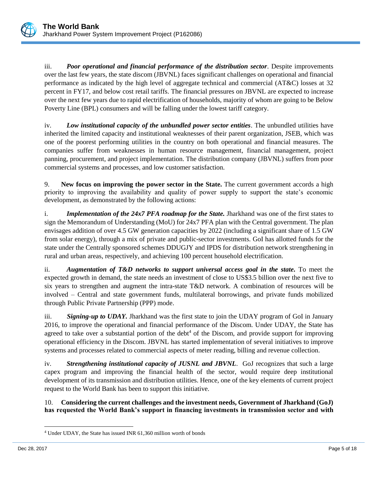

iii. *Poor operational and financial performance of the distribution sector*. Despite improvements over the last few years, the state discom (JBVNL) faces significant challenges on operational and financial performance as indicated by the high level of aggregate technical and commercial (AT&C) losses at 32 percent in FY17, and below cost retail tariffs. The financial pressures on JBVNL are expected to increase over the next few years due to rapid electrification of households, majority of whom are going to be Below Poverty Line (BPL) consumers and will be falling under the lowest tariff category.

iv. *Low institutional capacity of the unbundled power sector entities*. The unbundled utilities have inherited the limited capacity and institutional weaknesses of their parent organization, JSEB, which was one of the poorest performing utilities in the country on both operational and financial measures. The companies suffer from weaknesses in human resource management, financial management, project panning, procurement, and project implementation. The distribution company (JBVNL) suffers from poor commercial systems and processes, and low customer satisfaction.

9. **New focus on improving the power sector in the State.** The current government accords a high priority to improving the availability and quality of power supply to support the state's economic development, as demonstrated by the following actions:

i. *Implementation of the 24x7 PFA roadmap for the State.* Jharkhand was one of the first states to sign the Memorandum of Understanding (MoU) for 24x7 PFA plan with the Central government. The plan envisages addition of over 4.5 GW generation capacities by 2022 (including a significant share of 1.5 GW from solar energy), through a mix of private and public-sector investments. GoI has allotted funds for the state under the Centrally sponsored schemes DDUGJY and IPDS for distribution network strengthening in rural and urban areas, respectively, and achieving 100 percent household electrification.

ii. *Augmentation of T&D networks to support universal access goal in the state.* To meet the expected growth in demand, the state needs an investment of close to US\$3.5 billion over the next five to six years to strengthen and augment the intra-state T&D network. A combination of resources will be involved – Central and state government funds, multilateral borrowings, and private funds mobilized through Public Private Partnership (PPP) mode.

iii. *Signing-up to UDAY.* Jharkhand was the first state to join the UDAY program of GoI in January 2016, to improve the operational and financial performance of the Discom. Under UDAY, the State has agreed to take over a substantial portion of the debt<sup>4</sup> of the Discom, and provide support for improving operational efficiency in the Discom. JBVNL has started implementation of several initiatives to improve systems and processes related to commercial aspects of meter reading, billing and revenue collection.

iv. *Strengthening institutional capacity of JUSNL and JBVNL*. GoJ recognizes that such a large capex program and improving the financial health of the sector, would require deep institutional development of its transmission and distribution utilities. Hence, one of the key elements of current project request to the World Bank has been to support this initiative.

10. **Considering the current challenges and the investment needs, Government of Jharkhand (GoJ) has requested the World Bank's support in financing investments in transmission sector and with** 

 $\overline{\phantom{a}}$ <sup>4</sup> Under UDAY, the State has issued INR 61,360 million worth of bonds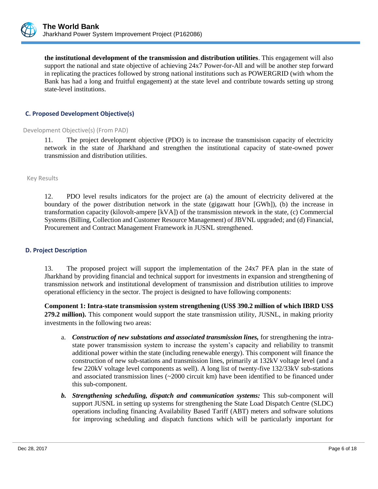

**the institutional development of the transmission and distribution utilities**. This engagement will also support the national and state objective of achieving 24x7 Power-for-All and will be another step forward in replicating the practices followed by strong national institutions such as POWERGRID (with whom the Bank has had a long and fruitful engagement) at the state level and contribute towards setting up strong state-level institutions.

## **C. Proposed Development Objective(s)**

#### Development Objective(s) (From PAD)

11. The project development objective (PDO) is to increase the transmisison capacity of electricity network in the state of Jharkhand and strengthen the institutional capacity of state-owned power transmission and distribution utilities.

Key Results

12. PDO level results indicators for the project are (a) the amount of electricity delivered at the boundary of the power distribution network in the state (gigawatt hour [GWh]), (b) the increase in transformation capacity (kilovolt-ampere [kVA]) of the transmission ntework in the state, (c) Commercial Systems (Billing, Collection and Customer Resource Management) of JBVNL upgraded; and (d) Financial, Procurement and Contract Management Framework in JUSNL strengthened.

#### **D. Project Description**

13. The proposed project will support the implementation of the 24x7 PFA plan in the state of Jharkhand by providing financial and technical support for investments in expansion and strengthening of transmission network and institutional development of transmission and distribution utilities to improve operational efficiency in the sector. The project is designed to have following components:

**Component 1: Intra-state transmission system strengthening (US\$ 390.2 million of which IBRD US\$ 279.2 million).** This component would support the state transmission utility, JUSNL, in making priority investments in the following two areas:

- a. *Construction of new substations and associated transmission lines,* for strengthening the intrastate power transmission system to increase the system's capacity and reliability to transmit additional power within the state (including renewable energy). This component will finance the construction of new sub-stations and transmission lines, primarily at 132kV voltage level (and a few 220kV voltage level components as well). A long list of twenty-five 132/33kV sub-stations and associated transmission lines  $\left(\sim 2000\right)$  circuit km) have been identified to be financed under this sub-component.
- *b. Strengthening scheduling, dispatch and communication systems:* This sub-component will support JUSNL in setting up systems for strengthening the State Load Dispatch Centre (SLDC) operations including financing Availability Based Tariff (ABT) meters and software solutions for improving scheduling and dispatch functions which will be particularly important for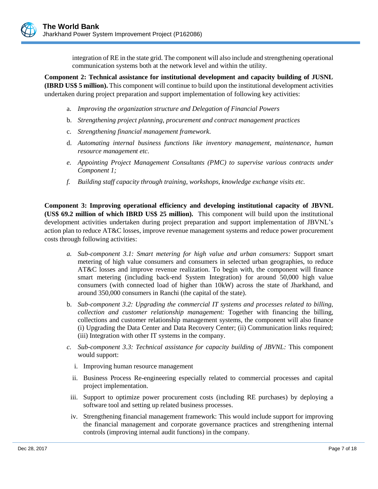integration of RE in the state grid. The component will also include and strengthening operational communication systems both at the network level and within the utility.

**Component 2: Technical assistance for institutional development and capacity building of JUSNL (IBRD US\$ 5 million).** This component will continue to build upon the institutional development activities undertaken during project preparation and support implementation of following key activities:

- a. *Improving the organization structure and Delegation of Financial Powers*
- b. *Strengthening project planning, procurement and contract management practices*
- c. *Strengthening financial management framework*.
- d. *Automating internal business functions like inventory management, maintenance, human resource management etc.*
- *e. Appointing Project Management Consultants (PMC) to supervise various contracts under Component 1;*
- *f. Building staff capacity through training, workshops, knowledge exchange visits etc.*

**Component 3: Improving operational efficiency and developing institutional capacity of JBVNL (US\$ 69.2 million of which IBRD US\$ 25 million).** This component will build upon the institutional development activities undertaken during project preparation and support implementation of JBVNL's action plan to reduce AT&C losses, improve revenue management systems and reduce power procurement costs through following activities:

- *a. Sub-component 3.1: Smart metering for high value and urban consumers:* Support smart metering of high value consumers and consumers in selected urban geographies, to reduce AT&C losses and improve revenue realization. To begin with, the component will finance smart metering (including back-end System Integration) for around 50,000 high value consumers (with connected load of higher than 10kW) across the state of Jharkhand, and around 350,000 consumers in Ranchi (the capital of the state).
- b. *Sub-component 3.2: Upgrading the commercial IT systems and processes related to billing, collection and customer relationship management:* Together with financing the billing, collections and customer relationship management systems, the component will also finance (i) Upgrading the Data Center and Data Recovery Center; (ii) Communication links required; (iii) Integration with other IT systems in the company.
- *c. Sub-component 3.3: Technical assistance for capacity building of JBVNL:* This component would support:
	- i. Improving human resource management
	- ii. Business Process Re-engineering especially related to commercial processes and capital project implementation.
- iii. Support to optimize power procurement costs (including RE purchases) by deploying a software tool and setting up related business processes.
- iv. Strengthening financial management framework: This would include support for improving the financial management and corporate governance practices and strengthening internal controls (improving internal audit functions) in the company.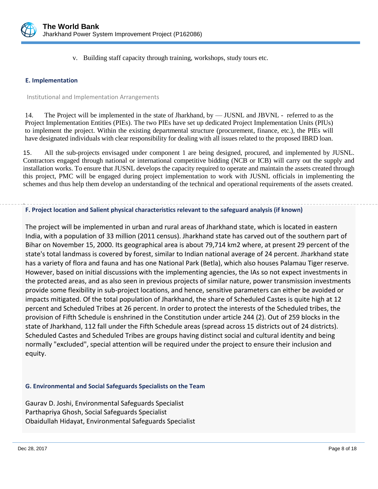

v. Building staff capacity through training, workshops, study tours etc.

## **E. Implementation**

#### Institutional and Implementation Arrangements

14. The Project will be implemented in the state of Jharkhand, by — JUSNL and JBVNL - referred to as the Project Implementation Entities (PIEs). The two PIEs have set up dedicated Project Implementation Units (PIUs) to implement the project. Within the existing departmental structure (procurement, finance, etc.), the PIEs will have designated individuals with clear responsibility for dealing with all issues related to the proposed IBRD loan.

15. All the sub-projects envisaged under component 1 are being designed, procured, and implemented by JUSNL. Contractors engaged through national or international competitive bidding (NCB or ICB) will carry out the supply and installation works. To ensure that JUSNL develops the capacity required to operate and maintain the assets created through this project, PMC will be engaged during project implementation to work with JUSNL officials in implementing the schemes and thus help them develop an understanding of the technical and operational requirements of the assets created.

#### . **F. Project location and Salient physical characteristics relevant to the safeguard analysis (if known)**

The project will be implemented in urban and rural areas of Jharkhand state, which is located in eastern India, with a population of 33 million (2011 census). Jharkhand state has carved out of the southern part of Bihar on November 15, 2000. Its geographical area is about 79,714 km2 where, at present 29 percent of the state's total landmass is covered by forest, similar to Indian national average of 24 percent. Jharkhand state has a variety of flora and fauna and has one National Park (Betla), which also houses Palamau Tiger reserve. However, based on initial discussions with the implementing agencies, the IAs so not expect investments in the protected areas, and as also seen in previous projects of similar nature, power transmission investments provide some flexibility in sub-project locations, and hence, sensitive parameters can either be avoided or impacts mitigated. Of the total population of Jharkhand, the share of Scheduled Castes is quite high at 12 percent and Scheduled Tribes at 26 percent. In order to protect the interests of the Scheduled tribes, the provision of Fifth Schedule is enshrined in the Constitution under article 244 (2). Out of 259 blocks in the state of Jharkhand, 112 fall under the Fifth Schedule areas (spread across 15 districts out of 24 districts). Scheduled Castes and Scheduled Tribes are groups having distinct social and cultural identity and being normally "excluded", special attention will be required under the project to ensure their inclusion and equity.

## **G. Environmental and Social Safeguards Specialists on the Team**

Gaurav D. Joshi, Environmental Safeguards Specialist Parthapriya Ghosh, Social Safeguards Specialist Obaidullah Hidayat, Environmental Safeguards Specialist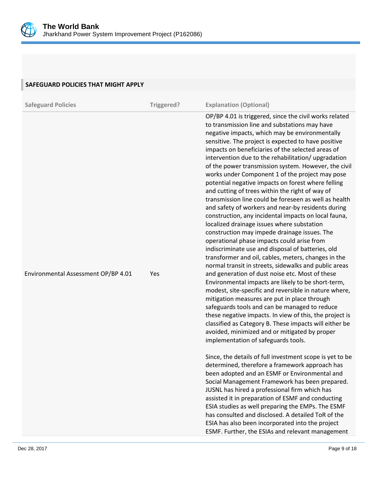

| SAFEGUARD POLICIES THAT MIGHT APPLY |            |                                                                                                                                                                                                                                                                                                                                                                                                                                                                                                                                                                                                                                                                                                                                                                                                                                                                                                                                                                                                                                                                                                                                                                                                                                                                                                                                                                                                                                                                                                                          |
|-------------------------------------|------------|--------------------------------------------------------------------------------------------------------------------------------------------------------------------------------------------------------------------------------------------------------------------------------------------------------------------------------------------------------------------------------------------------------------------------------------------------------------------------------------------------------------------------------------------------------------------------------------------------------------------------------------------------------------------------------------------------------------------------------------------------------------------------------------------------------------------------------------------------------------------------------------------------------------------------------------------------------------------------------------------------------------------------------------------------------------------------------------------------------------------------------------------------------------------------------------------------------------------------------------------------------------------------------------------------------------------------------------------------------------------------------------------------------------------------------------------------------------------------------------------------------------------------|
| <b>Safeguard Policies</b>           | Triggered? | <b>Explanation (Optional)</b>                                                                                                                                                                                                                                                                                                                                                                                                                                                                                                                                                                                                                                                                                                                                                                                                                                                                                                                                                                                                                                                                                                                                                                                                                                                                                                                                                                                                                                                                                            |
| Environmental Assessment OP/BP 4.01 | Yes        | OP/BP 4.01 is triggered, since the civil works related<br>to transmission line and substations may have<br>negative impacts, which may be environmentally<br>sensitive. The project is expected to have positive<br>impacts on beneficiaries of the selected areas of<br>intervention due to the rehabilitation/ upgradation<br>of the power transmission system. However, the civil<br>works under Component 1 of the project may pose<br>potential negative impacts on forest where felling<br>and cutting of trees within the right of way of<br>transmission line could be foreseen as well as health<br>and safety of workers and near-by residents during<br>construction, any incidental impacts on local fauna,<br>localized drainage issues where substation<br>construction may impede drainage issues. The<br>operational phase impacts could arise from<br>indiscriminate use and disposal of batteries, old<br>transformer and oil, cables, meters, changes in the<br>normal transit in streets, sidewalks and public areas<br>and generation of dust noise etc. Most of these<br>Environmental impacts are likely to be short-term,<br>modest, site-specific and reversible in nature where,<br>mitigation measures are put in place through<br>safeguards tools and can be managed to reduce<br>these negative impacts. In view of this, the project is<br>classified as Category B. These impacts will either be<br>avoided, minimized and or mitigated by proper<br>implementation of safeguards tools. |
|                                     |            | Since, the details of full investment scope is yet to be<br>determined, therefore a framework approach has<br>been adopted and an ESMF or Environmental and<br>Social Management Framework has been prepared.<br>JUSNL has hired a professional firm which has<br>assisted it in preparation of ESMF and conducting<br>ESIA studies as well preparing the EMPs. The ESMF<br>has consulted and disclosed. A detailed ToR of the<br>ESIA has also been incorporated into the project<br>ESMF. Further, the ESIAs and relevant management                                                                                                                                                                                                                                                                                                                                                                                                                                                                                                                                                                                                                                                                                                                                                                                                                                                                                                                                                                                   |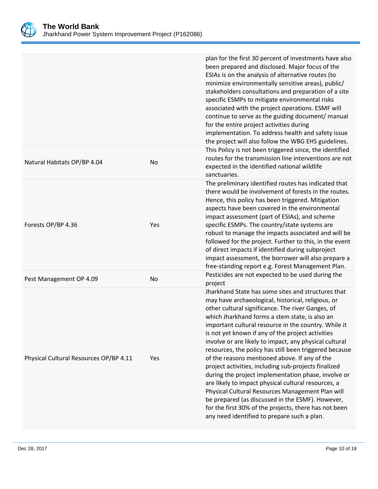

|                                        |     | plan for the first 30 percent of investments have also<br>been prepared and disclosed. Major focus of the<br>ESIAs is on the analysis of alternative routes (to<br>minimize environmentally sensitive areas), public/<br>stakeholders consultations and preparation of a site<br>specific ESMPs to mitigate environmental risks<br>associated with the project operations. ESMF will<br>continue to serve as the guiding document/ manual<br>for the entire project activities during<br>implementation. To address health and safety issue<br>the project will also follow the WBG EHS guidelines.                                                                                                                                                                                                                                                                                     |
|----------------------------------------|-----|-----------------------------------------------------------------------------------------------------------------------------------------------------------------------------------------------------------------------------------------------------------------------------------------------------------------------------------------------------------------------------------------------------------------------------------------------------------------------------------------------------------------------------------------------------------------------------------------------------------------------------------------------------------------------------------------------------------------------------------------------------------------------------------------------------------------------------------------------------------------------------------------|
| Natural Habitats OP/BP 4.04            | No  | This Policy is not been triggered since, the identified<br>routes for the transmission line interventions are not<br>expected in the identified national wildlife<br>sanctuaries.                                                                                                                                                                                                                                                                                                                                                                                                                                                                                                                                                                                                                                                                                                       |
| Forests OP/BP 4.36                     | Yes | The preliminary identified routes has indicated that<br>there would be involvement of forests in the routes.<br>Hence, this policy has been triggered. Mitigation<br>aspects have been covered in the environmental<br>impact assessment (part of ESIAs), and scheme<br>specific ESMPs. The country/state systems are<br>robust to manage the impacts associated and will be<br>followed for the project. Further to this, in the event<br>of direct impacts if identified during subproject<br>impact assessment, the borrower will also prepare a<br>free-standing report e.g. Forest Management Plan.                                                                                                                                                                                                                                                                                |
| Pest Management OP 4.09                | No  | Pesticides are not expected to be used during the<br>project                                                                                                                                                                                                                                                                                                                                                                                                                                                                                                                                                                                                                                                                                                                                                                                                                            |
| Physical Cultural Resources OP/BP 4.11 | Yes | Jharkhand State has some sites and structures that<br>may have archaeological, historical, religious, or<br>other cultural significance. The river Ganges, of<br>which Jharkhand forms a stem state, is also an<br>important cultural resource in the country. While it<br>is not yet known if any of the project activities<br>involve or are likely to impact, any physical cultural<br>resources, the policy has still been triggered because<br>of the reasons mentioned above. If any of the<br>project activities, including sub-projects finalized<br>during the project implementation phase, involve or<br>are likely to impact physical cultural resources, a<br>Physical Cultural Resources Management Plan will<br>be prepared (as discussed in the ESMF). However,<br>for the first 30% of the projects, there has not been<br>any need identified to prepare such a plan. |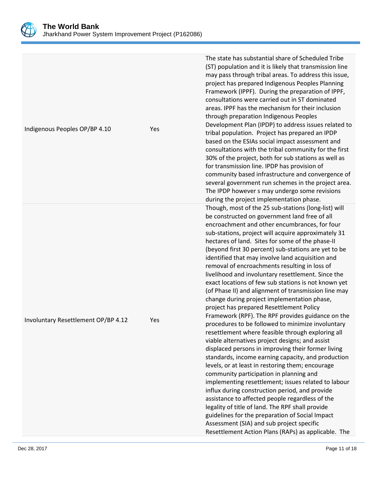

| Involuntary Resettlement OP/BP 4.12 | Yes | The IPDP however s may undergo some revisions<br>during the project implementation phase.<br>Though, most of the 25 sub-stations (long-list) will<br>be constructed on government land free of all<br>encroachment and other encumbrances, for four<br>sub-stations, project will acquire approximately 31<br>hectares of land. Sites for some of the phase-II<br>(beyond first 30 percent) sub-stations are yet to be<br>identified that may involve land acquisition and<br>removal of encroachments resulting in loss of<br>livelihood and involuntary resettlement. Since the<br>exact locations of few sub stations is not known yet<br>(of Phase II) and alignment of transmission line may<br>change during project implementation phase,<br>project has prepared Resettlement Policy<br>Framework (RPF). The RPF provides guidance on the<br>procedures to be followed to minimize involuntary<br>resettlement where feasible through exploring all<br>viable alternatives project designs; and assist<br>displaced persons in improving their former living<br>standards, income earning capacity, and production<br>levels, or at least in restoring them; encourage<br>community participation in planning and<br>implementing resettlement; issues related to labour<br>influx during construction period, and provide<br>assistance to affected people regardless of the<br>legality of title of land. The RPF shall provide<br>guidelines for the preparation of Social Impact |
|-------------------------------------|-----|----------------------------------------------------------------------------------------------------------------------------------------------------------------------------------------------------------------------------------------------------------------------------------------------------------------------------------------------------------------------------------------------------------------------------------------------------------------------------------------------------------------------------------------------------------------------------------------------------------------------------------------------------------------------------------------------------------------------------------------------------------------------------------------------------------------------------------------------------------------------------------------------------------------------------------------------------------------------------------------------------------------------------------------------------------------------------------------------------------------------------------------------------------------------------------------------------------------------------------------------------------------------------------------------------------------------------------------------------------------------------------------------------------------------------------------------------------------------------------------------|
| Indigenous Peoples OP/BP 4.10       | Yes | The state has substantial share of Scheduled Tribe<br>(ST) population and it is likely that transmission line<br>may pass through tribal areas. To address this issue,<br>project has prepared Indigenous Peoples Planning<br>Framework (IPPF). During the preparation of IPPF,<br>consultations were carried out in ST dominated<br>areas. IPPF has the mechanism for their inclusion<br>through preparation Indigenous Peoples<br>Development Plan (IPDP) to address issues related to<br>tribal population. Project has prepared an IPDP<br>based on the ESIAs social impact assessment and<br>consultations with the tribal community for the first<br>30% of the project, both for sub stations as well as<br>for transmission line. IPDP has provision of<br>community based infrastructure and convergence of<br>several government run schemes in the project area.                                                                                                                                                                                                                                                                                                                                                                                                                                                                                                                                                                                                                  |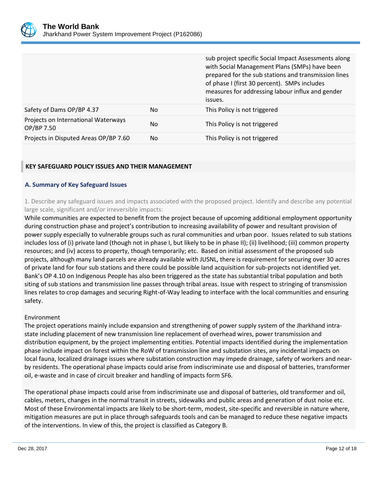

|                                                   |     | sub project specific Social Impact Assessments along<br>with Social Management Plans (SMPs) have been<br>prepared for the sub stations and transmission lines<br>of phase I (first 30 percent). SMPs includes<br>measures for addressing labour influx and gender<br>issues. |
|---------------------------------------------------|-----|------------------------------------------------------------------------------------------------------------------------------------------------------------------------------------------------------------------------------------------------------------------------------|
| Safety of Dams OP/BP 4.37                         | No. | This Policy is not triggered                                                                                                                                                                                                                                                 |
| Projects on International Waterways<br>OP/BP 7.50 | No  | This Policy is not triggered                                                                                                                                                                                                                                                 |
| Projects in Disputed Areas OP/BP 7.60             | No. | This Policy is not triggered                                                                                                                                                                                                                                                 |

## **KEY SAFEGUARD POLICY ISSUES AND THEIR MANAGEMENT**

## **A. Summary of Key Safeguard Issues**

1. Describe any safeguard issues and impacts associated with the proposed project. Identify and describe any potential large scale, significant and/or irreversible impacts:

While communities are expected to benefit from the project because of upcoming additional employment opportunity during construction phase and project's contribution to increasing availability of power and resultant provision of power supply especially to vulnerable groups such as rural communities and urban poor. Issues related to sub stations includes loss of (i) private land (though not in phase I, but likely to be in phase II); (ii) livelihood; (iii) common property resources; and (iv) access to property, though temporarily; etc. Based on initial assessment of the proposed sub projects, although many land parcels are already available with JUSNL, there is requirement for securing over 30 acres of private land for four sub stations and there could be possible land acquisition for sub-projects not identified yet. Bank's OP 4.10 on Indigenous People has also been triggered as the state has substantial tribal population and both siting of sub stations and transmission line passes through tribal areas. Issue with respect to stringing of transmission lines relates to crop damages and securing Right-of-Way leading to interface with the local communities and ensuring safety.

#### Environment

The project operations mainly include expansion and strengthening of power supply system of the Jharkhand intrastate including placement of new transmission line replacement of overhead wires, power transmission and distribution equipment, by the project implementing entities. Potential impacts identified during the implementation phase include impact on forest within the RoW of transmission line and substation sites, any incidental impacts on local fauna, localized drainage issues where substation construction may impede drainage, safety of workers and nearby residents. The operational phase impacts could arise from indiscriminate use and disposal of batteries, transformer oil, e-waste and in case of circuit breaker and handling of impacts form SF6.

The operational phase impacts could arise from indiscriminate use and disposal of batteries, old transformer and oil, cables, meters, changes in the normal transit in streets, sidewalks and public areas and generation of dust noise etc. Most of these Environmental impacts are likely to be short-term, modest, site-specific and reversible in nature where, mitigation measures are put in place through safeguards tools and can be managed to reduce these negative impacts of the interventions. In view of this, the project is classified as Category B.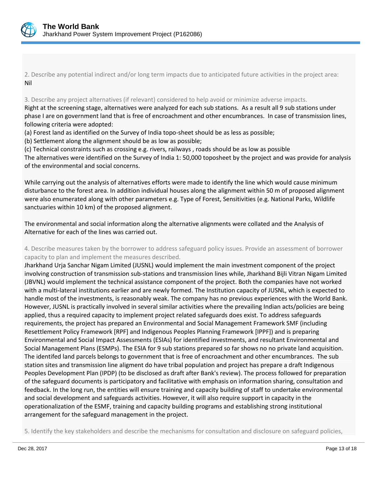

2. Describe any potential indirect and/or long term impacts due to anticipated future activities in the project area: Nil

3. Describe any project alternatives (if relevant) considered to help avoid or minimize adverse impacts.

Right at the screening stage, alternatives were analyzed for each sub stations. As a result all 9 sub stations under phase I are on government land that is free of encroachment and other encumbrances. In case of transmission lines, following criteria were adopted:

(a) Forest land as identified on the Survey of India topo-sheet should be as less as possible;

(b) Settlement along the alignment should be as low as possible;

(c) Technical constraints such as crossing e.g. rivers, railways , roads should be as low as possible The alternatives were identified on the Survey of India 1: 50,000 toposheet by the project and was provide for analysis of the environmental and social concerns.

While carrying out the analysis of alternatives efforts were made to identify the line which would cause minimum disturbance to the forest area. In addition individual houses along the alignment within 50 m of proposed alignment were also enumerated along with other parameters e.g. Type of Forest, Sensitivities (e.g. National Parks, Wildlife sanctuaries within 10 km) of the proposed alignment.

The environmental and social information along the alternative alignments were collated and the Analysis of Alternative for each of the lines was carried out.

4. Describe measures taken by the borrower to address safeguard policy issues. Provide an assessment of borrower capacity to plan and implement the measures described.

Jharkhand Urja Sanchar Nigam Limited (JUSNL) would implement the main investment component of the project involving construction of transmission sub-stations and transmission lines while, Jharkhand Bijli Vitran Nigam Limited (JBVNL) would implement the technical assistance component of the project. Both the companies have not worked with a multi-lateral institutions earlier and are newly formed. The Institution capacity of JUSNL, which is expected to handle most of the investments, is reasonably weak. The company has no previous experiences with the World Bank. However, JUSNL is practically involved in several similar activities where the prevailing Indian acts/policies are being applied, thus a required capacity to implement project related safeguards does exist. To address safeguards requirements, the project has prepared an Environmental and Social Management Framework SMF (including Resettlement Policy Framework [RPF] and Indigenous Peoples Planning Framework [IPPF]) and is preparing Environmental and Social Impact Assessments (ESIAs) for identified investments, and resultant Environmental and Social Management Plans (ESMPs). The ESIA for 9 sub stations prepared so far shows no no private land acquisition. The identifed land parcels belongs to government that is free of encroachment and other encumbrances. The sub station sites and transmission line aligment do have tribal population and project has prepare a draft Indigenous Peoples Development Plan (IPDP) (to be disclosed as draft after Bank's review). The process followed for preparation of the safeguard documents is participatory and facilitative with emphasis on information sharing, consultation and feedback. In the long run, the entities will ensure training and capacity building of staff to undertake environmental and social development and safeguards activities. However, it will also require support in capacity in the operationalization of the ESMF, training and capacity building programs and establishing strong institutional arrangement for the safeguard management in the project.

5. Identify the key stakeholders and describe the mechanisms for consultation and disclosure on safeguard policies,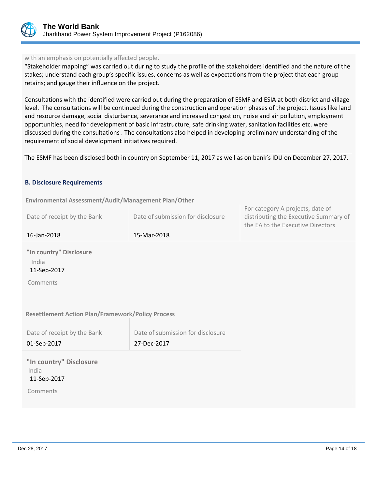

## with an emphasis on potentially affected people.

"Stakeholder mapping" was carried out during to study the profile of the stakeholders identified and the nature of the stakes; understand each group's specific issues, concerns as well as expectations from the project that each group retains; and gauge their influence on the project.

Consultations with the identified were carried out during the preparation of ESMF and ESIA at both district and village level. The consultations will be continued during the construction and operation phases of the project. Issues like land and resource damage, social disturbance, severance and increased congestion, noise and air pollution, employment opportunities, need for development of basic infrastructure, safe drinking water, sanitation facilities etc. were discussed during the consultations . The consultations also helped in developing preliminary understanding of the requirement of social development initiatives required.

The ESMF has been disclosed both in country on September 11, 2017 as well as on bank's IDU on December 27, 2017.

#### **B. Disclosure Requirements**

**Environmental Assessment/Audit/Management Plan/Other** 

| 16-Jan-2018                 | 15-Mar-2018                       |                                                                                                                |
|-----------------------------|-----------------------------------|----------------------------------------------------------------------------------------------------------------|
| Date of receipt by the Bank | Date of submission for disclosure | For category A projects, date of<br>distributing the Executive Summary of<br>the EA to the Executive Directors |

**"In country" Disclosure** India 11-Sep-2017

Comments

## **Resettlement Action Plan/Framework/Policy Process**

| Date of receipt by the Bank | Date of submission for disclosure |
|-----------------------------|-----------------------------------|
| 01-Sep-2017                 | 27-Dec-2017                       |

|       |             | "In country" Disclosure |
|-------|-------------|-------------------------|
| India |             |                         |
|       | 11-Sep-2017 |                         |
|       | Comments    |                         |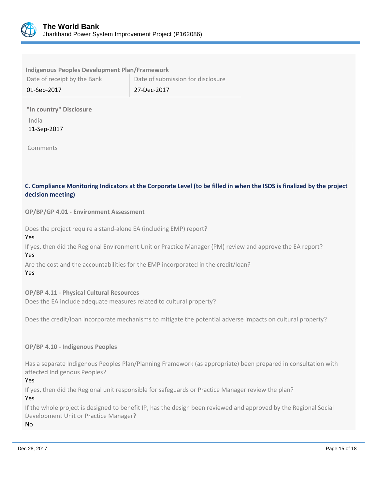

| <b>Indigenous Peoples Development Plan/Framework</b> |                                   |  |  |
|------------------------------------------------------|-----------------------------------|--|--|
| Date of receipt by the Bank                          | Date of submission for disclosure |  |  |
| 01-Sep-2017                                          | 27-Dec-2017                       |  |  |

**"In country" Disclosure** India

11-Sep-2017

Comments

## **C. Compliance Monitoring Indicators at the Corporate Level (to be filled in when the ISDS is finalized by the project decision meeting)**

**OP/BP/GP 4.01 - Environment Assessment** 

Does the project require a stand-alone EA (including EMP) report?

## Yes

If yes, then did the Regional Environment Unit or Practice Manager (PM) review and approve the EA report? Yes

Are the cost and the accountabilities for the EMP incorporated in the credit/loan?

Yes

## **OP/BP 4.11 - Physical Cultural Resources**

Does the EA include adequate measures related to cultural property?

Does the credit/loan incorporate mechanisms to mitigate the potential adverse impacts on cultural property?

## **OP/BP 4.10 - Indigenous Peoples**

Has a separate Indigenous Peoples Plan/Planning Framework (as appropriate) been prepared in consultation with affected Indigenous Peoples?

Yes

If yes, then did the Regional unit responsible for safeguards or Practice Manager review the plan?

Yes

If the whole project is designed to benefit IP, has the design been reviewed and approved by the Regional Social Development Unit or Practice Manager?

No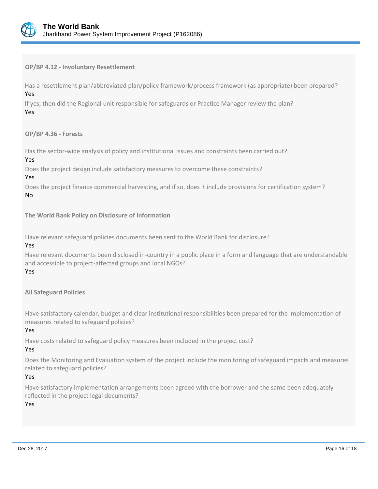

## **OP/BP 4.12 - Involuntary Resettlement**

Has a resettlement plan/abbreviated plan/policy framework/process framework (as appropriate) been prepared? Yes

If yes, then did the Regional unit responsible for safeguards or Practice Manager review the plan? Yes

## **OP/BP 4.36 - Forests**

Has the sector-wide analysis of policy and institutional issues and constraints been carried out?

#### Yes

Does the project design include satisfactory measures to overcome these constraints?

#### Yes

Does the project finance commercial harvesting, and if so, does it include provisions for certification system? No

## **The World Bank Policy on Disclosure of Information**

Have relevant safeguard policies documents been sent to the World Bank for disclosure?

#### Yes

Have relevant documents been disclosed in-country in a public place in a form and language that are understandable and accessible to project-affected groups and local NGOs?

#### Yes

**All Safeguard Policies**

Have satisfactory calendar, budget and clear institutional responsibilities been prepared for the implementation of measures related to safeguard policies?

## Yes

Have costs related to safeguard policy measures been included in the project cost?

#### Yes

Does the Monitoring and Evaluation system of the project include the monitoring of safeguard impacts and measures related to safeguard policies?

#### Yes

Have satisfactory implementation arrangements been agreed with the borrower and the same been adequately reflected in the project legal documents?

#### Yes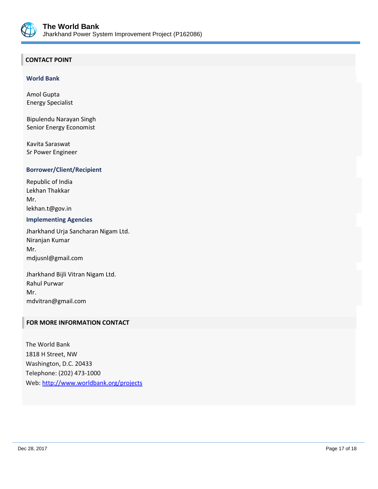

## **CONTACT POINT**

#### **World Bank**

Amol Gupta Energy Specialist

Bipulendu Narayan Singh Senior Energy Economist

Kavita Saraswat Sr Power Engineer

#### **Borrower/Client/Recipient**

Republic of India Lekhan Thakkar Mr. lekhan.t@gov.in

## **Implementing Agencies**

Jharkhand Urja Sancharan Nigam Ltd. Niranjan Kumar Mr. mdjusnl@gmail.com

Jharkhand Bijli Vitran Nigam Ltd. Rahul Purwar Mr. mdvitran@gmail.com

## **FOR MORE INFORMATION CONTACT**

The World Bank 1818 H Street, NW Washington, D.C. 20433 Telephone: (202) 473-1000 Web:<http://www.worldbank.org/projects>